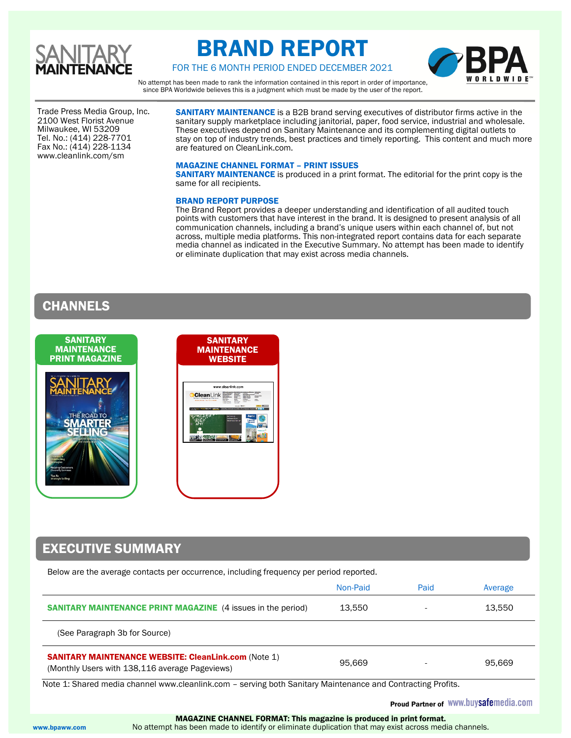

# BRAND REPORT



FOR THE 6 MONTH PERIOD ENDED DECEMBER 2021

No attempt has been made to rank the information contained in this report in order of importance, since BPA Worldwide believes this is a judgment which must be made by the user of the report.

Trade Press Media Group, Inc. 2100 West Florist Avenue Milwaukee, WI 53209 Tel. No.: (414) 228-7701 Fax No.: (414) 228-1134 www.cleanlink.com/sm

SANITARY MAINTENANCE is a B2B brand serving executives of distributor firms active in the sanitary supply marketplace including janitorial, paper, food service, industrial and wholesale. These executives depend on Sanitary Maintenance and its complementing digital outlets to stay on top of industry trends, best practices and timely reporting. This content and much more are featured on CleanLink.com.

#### MAGAZINE CHANNEL FORMAT – PRINT ISSUES

SANITARY MAINTENANCE is produced in a print format. The editorial for the print copy is the same for all recipients.

#### BRAND REPORT PURPOSE

The Brand Report provides a deeper understanding and identification of all audited touch points with customers that have interest in the brand. It is designed to present analysis of all communication channels, including a brand's unique users within each channel of, but not across, multiple media platforms. This non-integrated report contains data for each separate media channel as indicated in the Executive Summary. No attempt has been made to identify or eliminate duplication that may exist across media channels.

### CHANNELS



### EXECUTIVE SUMMARY

Below are the average contacts per occurrence, including frequency per period reported.

|                                                                                                               | Non-Paid | Paid                     | Average |
|---------------------------------------------------------------------------------------------------------------|----------|--------------------------|---------|
| <b>SANITARY MAINTENANCE PRINT MAGAZINE</b> (4 issues in the period)                                           | 13.550   | $\overline{\phantom{0}}$ | 13.550  |
| (See Paragraph 3b for Source)                                                                                 |          |                          |         |
| <b>SANITARY MAINTENANCE WEBSITE: CleanLink.com (Note 1)</b><br>(Monthly Users with 138,116 average Pageviews) | 95.669   |                          | 95.669  |

Note 1: Shared media channel www.cleanlink.com – serving both Sanitary Maintenance and Contracting Profits.

**Proud Partner of WWW.buysafemedia.com** 

 MAGAZINE CHANNEL FORMAT: This magazine is produced in print format. www.bpaww.com No attempt has been made to identify or eliminate duplication that may exist across media channels.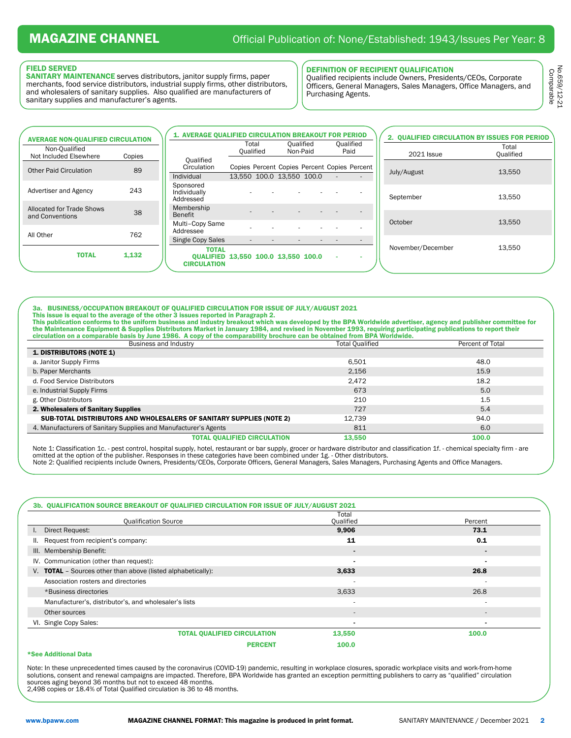#### FIELD SERVED

SANITARY MAINTENANCE serves distributors, janitor supply firms, paper merchants, food service distributors, industrial supply firms, other distributors, and wholesalers of sanitary supplies. Also qualified are manufacturers of sanitary supplies and manufacturer's agents.

#### DEFINITION OF RECIPIENT QUALIFICATION

Qualified recipients include Owners, Presidents/CEOs, Corporate Officers, General Managers, Sales Managers, Office Managers, and Purchasing Agents.

| <b>AVERAGE NON-QUALIFIED CIRCULATION</b>     |        | <b>1. AVERAGE OUALIFIED CIRCULATION BREAKOUT FOR PERIOD</b>                      |                           |                              |                                                        |                   | 2. QUALIFIED CIRCULATION BY ISSUES FOR PERIOD |
|----------------------------------------------|--------|----------------------------------------------------------------------------------|---------------------------|------------------------------|--------------------------------------------------------|-------------------|-----------------------------------------------|
| Non-Qualified<br>Not Included Elsewhere      | Copies |                                                                                  | Total<br><b>Oualified</b> | <b>Oualified</b><br>Non-Paid | Oualified<br>Paid                                      | <b>2021 Issue</b> | Total<br>Qualified                            |
| <b>Other Paid Circulation</b>                | 89     | <b>Oualified</b><br><b>Circulation</b><br>Individual                             | 13.550 100.0 13.550 100.0 |                              | Copies Percent Copies Percent Copies Percent<br>$\sim$ | July/August       | 13,550                                        |
| Advertiser and Agency                        | 243    | Sponsored<br>Individually<br>Addressed                                           |                           |                              |                                                        | September         | 13.550                                        |
| Allocated for Trade Shows<br>and Conventions | 38     | Membership<br>Benefit                                                            |                           |                              |                                                        | October           | 13.550                                        |
| All Other                                    | 762    | Multi-Copy Same<br>Addressee                                                     |                           |                              |                                                        |                   |                                               |
|                                              |        | <b>Single Copy Sales</b>                                                         |                           |                              |                                                        |                   |                                               |
| <b>TOTAL</b>                                 | 1,132  | <b>TOTAL</b><br><b>OUALIFIED 13.550 100.0 13.550 100.0</b><br><b>CIRCULATION</b> |                           |                              | ×.                                                     | November/December | 13.550                                        |

3a. BUSINESS/OCCUPATION BREAKOUT OF QUALIFIED CIRCULATION FOR ISSUE OF JULY/AUGUST 2021 This issue is equal to the average of the other 3 issues reported in Paragraph 2.

This publication conforms to the uniform business and industry breakout which was developed by the BPA Worldwide advertiser, agency and publisher committee for the Maintenance Equipment & Supplies Distributors Market in January 1984, and revised in November 1993, requiring participating publications to report their<br>circulation on a comparable basis by June 1986. A copy of the com

| Business and Industry                                                       | <b>Total Qualified</b> | Percent of Total |
|-----------------------------------------------------------------------------|------------------------|------------------|
| <b>1. DISTRIBUTORS (NOTE 1)</b>                                             |                        |                  |
| a. Janitor Supply Firms                                                     | 6.501                  | 48.0             |
| b. Paper Merchants                                                          | 2.156                  | 15.9             |
| d. Food Service Distributors                                                | 2.472                  | 18.2             |
| e. Industrial Supply Firms                                                  | 673                    | 5.0              |
| g. Other Distributors                                                       | 210                    | 1.5              |
| 2. Wholesalers of Sanitary Supplies                                         | 727                    | 5.4              |
| <b>SUB-TOTAL DISTRIBUTORS AND WHOLESALERS OF SANITARY SUPPLIES (NOTE 2)</b> | 12.739                 | 94.0             |
| 4. Manufacturers of Sanitary Supplies and Manufacturer's Agents             | 811                    | 6.0              |
| <b>TOTAL OUALIFIED CIRCULATION</b>                                          | 13.550                 | 100.0            |

Note 1: Classification 1c. - pest control, hospital supply, hotel, restaurant or bar supply, grocer or hardware distributor and classification 1f. - chemical specialty firm - are<br>omitted at the option of the publisher. Res Note 2: Qualified recipients include Owners, Presidents/CEOs, Corporate Officers, General Managers, Sales Managers, Purchasing Agents and Office Managers.

| <b>Qualification Source</b>                                         | Total<br>Qualified       | Percent        |
|---------------------------------------------------------------------|--------------------------|----------------|
| Direct Request:<br>Ι.                                               | 9,906                    | 73.1           |
| Request from recipient's company:<br>Ш.                             | 11                       | 0.1            |
| III. Membership Benefit:                                            |                          | $\blacksquare$ |
| IV. Communication (other than request):                             | $\overline{\phantom{0}}$ |                |
| V. <b>TOTAL</b> - Sources other than above (listed alphabetically): | 3,633                    | 26.8           |
| Association rosters and directories                                 |                          |                |
| *Business directories                                               | 3,633                    | 26.8           |
| Manufacturer's, distributor's, and wholesaler's lists               |                          |                |
| Other sources                                                       | $\overline{\phantom{a}}$ |                |
| VI. Single Copy Sales:                                              |                          |                |
| <b>TOTAL QUALIFIED CIRCULATION</b>                                  | 13,550                   | 100.0          |
| <b>PERCENT</b>                                                      | 100.0                    |                |

#### \*See Additional Data

Note: In these unprecedented times caused by the coronavirus (COVID-19) pandemic, resulting in workplace closures, sporadic workplace visits and work-from-home solutions, consent and renewal campaigns are impacted. Therefore, BPA Worldwide has granted an exception permitting publishers to carry as "qualified" circulation sources aging beyond 36 months but not to exceed 48 months. 2,498 copies or 18.4% of Total Qualified circulation is 36 to 48 months.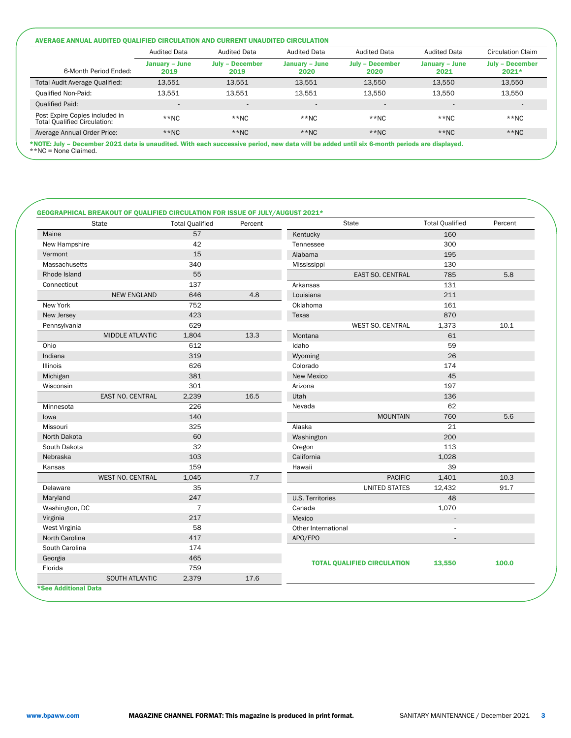### AVERAGE ANNUAL AUDITED QUALIFIED CIRCULATION AND CURRENT UNAUDITED CIRCULATION

|                                                                                                                                                                     | <b>Audited Data</b>      | <b>Audited Data</b>            | <b>Audited Data</b>      | <b>Audited Data</b>            | <b>Audited Data</b>    | Circulation Claim                 |
|---------------------------------------------------------------------------------------------------------------------------------------------------------------------|--------------------------|--------------------------------|--------------------------|--------------------------------|------------------------|-----------------------------------|
| 6-Month Period Ended:                                                                                                                                               | January - June<br>2019   | <b>July - December</b><br>2019 | January - June<br>2020   | <b>July - December</b><br>2020 | January - June<br>2021 | <b>July - December</b><br>$2021*$ |
| Total Audit Average Qualified:                                                                                                                                      | 13,551                   | 13.551                         | 13.551                   | 13.550                         | 13,550                 | 13,550                            |
| <b>Oualified Non-Paid:</b>                                                                                                                                          | 13.551                   | 13.551                         | 13.551                   | 13.550                         | 13.550                 | 13,550                            |
| <b>Qualified Paid:</b>                                                                                                                                              | $\overline{\phantom{a}}$ | $\overline{a}$                 | $\overline{\phantom{a}}$ | $\sim$                         | $\overline{a}$         | $\overline{a}$                    |
| Post Expire Copies included in<br><b>Total Qualified Circulation:</b>                                                                                               | $**NC$                   | $**NC$                         | $*$ NC                   | $**NC$                         | $*$ NC                 | $**NC$                            |
| Average Annual Order Price:                                                                                                                                         | $**NC$                   | $*$ NC                         | $*$ NC                   | $*$ NC                         | $*$ NC                 | $**NC$                            |
| *NOTE: July – December 2021 data is unaudited. With each successive period, new data will be added until six 6-month periods are displayed.<br>**NC = None Claimed. |                          |                                |                          |                                |                        |                                   |

Kentucky 160 Tennessee 300 Alabama 195 Mississippi 130 EAST SO. CENTRAL 785 5.8 Arkansas 131 Louisiana 211 Oklahoma 161 Texas 870 WEST SO. CENTRAL 1,373 10.1 Montana 61 Idaho 59 Wyoming 26 Colorado 174 New Mexico 45 Arizona 197 Utah 136 (136 km) atau kalendar (136 km) atau kalendar (136 km) atau kalendar (136 km) atau kalendar (136 km) Nevada 62 MOUNTAIN 760 5.6 Alaska 21 Washington 200 Oregon 113 California 1,028 Hawaii 39 PACIFIC 1,401 10.3 UNITED STATES 12,432 91.7 U.S. Territories 48 Canada 1,070 Mexico Other International APO/FPO - TOTAL QUALIFIED CIRCULATION 13,550 100.0 State Total Qualified Percent State Total Qualified Percent State Total Qualified Percent Maine 57 New Hampshire 42 Vermont 15 Massachusetts 340 Rhode Island 55 Connecticut 137 NEW ENGLAND 646 4.8 New York 752 New Jersey 223 Pennsylvania 629 MIDDLE ATLANTIC 1,804 13.3 Ohio 612 Indiana 319 Illinois 626 Michigan 381 Wisconsin 301 EAST NO. CENTRAL 2,239 16.5 Minnesota 226 Iowa 2008 - 2008 - 2008 - 2008 - 2008 - 2008 - 2008 - 2008 - 2008 - 2008 - 2008 - 2008 - 2008 - 2008 - 2008 -Missouri 325 North Dakota 60 South Dakota 32 Nebraska 103 Kansas 159 WEST NO. CENTRAL 1,045 7.7 Delaware 35 Maryland 247 Washington, DC 7 Virginia 217 West Virginia 58 North Carolina 417 South Carolina 174 Georgia 465 Florida 759 SOUTH ATLANTIC 2,379 17.6 \*See Additional Data GEOGRAPHICAL BREAKOUT OF QUALIFIED CIRCULATION FOR ISSUE OF JULY/AUGUST 2021\*